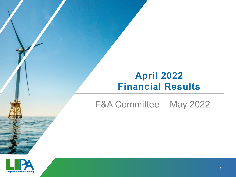# **April 2022 Financial Results**

# F&A Committee – May 2022

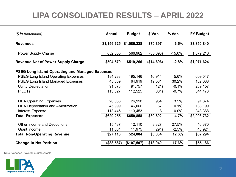## **LIPA CONSOLIDATED RESULTS – APRIL 2022**

| (\$ in thousands)                                      | <b>Actual</b> | <b>Budget</b> | \$ Var.    | % Var.   | <b>FY Budget</b> |
|--------------------------------------------------------|---------------|---------------|------------|----------|------------------|
| <b>Revenues</b>                                        | \$1,156,625   | \$1,086,228   | \$70,397   | 6.5%     | \$3,850,840      |
| Power Supply Charge                                    | 652,055       | 566,962       | (85,093)   | $-15.0%$ | 1,879,216        |
| <b>Revenue Net of Power Supply Charge</b>              | \$504,570     | \$519,266     | (\$14,696) | $-2.8%$  | \$1,971,624      |
| <b>PSEG Long Island Operating and Managed Expenses</b> |               |               |            |          |                  |
| <b>PSEG Long Island Operating Expenses</b>             | 184,233       | 195,146       | 10,914     | 5.6%     | 609,547          |
| <b>PSEG Long Island Managed Expenses</b>               | 45,339        | 64,919        | 19,581     | 30.2%    | 182,088          |
| <b>Utility Depreciation</b>                            | 91,878        | 91,757        | (121)      | $-0.1%$  | 289,157          |
| <b>PILOTS</b>                                          | 113,327       | 112,525       | (801)      | $-0.7%$  | 344,478          |
| <b>LIPA Operating Expenses</b>                         | 26,036        | 26,990        | 954        | 3.5%     | 91,874           |
| <b>LIPA Depreciation and Amortization</b>              | 45,999        | 46,066        | 67         | 0.1%     | 138,199          |
| Interest Expense                                       | 113,445       | 113,453       | 8          | $0.0\%$  | 348,388          |
| <b>Total Expenses</b>                                  | \$620,255     | \$650,858     | \$30,602   | 4.7%     | \$2,003,732      |
| <b>Other Income and Deductions</b>                     | 15,437        | 12,110        | 3,327      | 27.5%    | 46,370           |
| <b>Grant Income</b>                                    | 11,681        | 11,975        | (294)      | $-2.5%$  | 40,924           |
| <b>Total Non-Operating Revenue</b>                     | \$27,118      | \$24,084      | \$3,034    | 12.6%    | \$87,294         |
| <b>Change in Net Position</b>                          | (\$88,567)    | (\$107,507)   | \$18,940   | 17.6%    | \$55,186         |

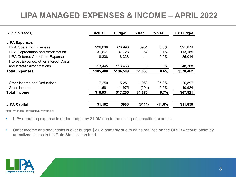# **LIPA MANAGED EXPENSES & INCOME – APRIL 2022**

| $(S \in \mathbb{R})$ in thousands)        | <b>Actual</b> | <b>Budget</b> | \$ Var. | % Var.   | <b>FY Budget</b> |
|-------------------------------------------|---------------|---------------|---------|----------|------------------|
| <b>LIPA Expenses</b>                      |               |               |         |          |                  |
| <b>LIPA Operating Expenses</b>            | \$26,036      | \$26,990      | \$954   | 3.5%     | \$91,874         |
| <b>LIPA Depreciation and Amortization</b> | 37,661        | 37,728        | 67      | 0.1%     | 113,185          |
| <b>LIPA Deferred Amortized Expenses</b>   | 8,338         | 8,338         |         | 0.0%     | 25,014           |
| Interest Expense, other Interest Costs    |               |               |         |          |                  |
| and Interest Amortizations                | 113,445       | 113,453       | 8       | $0.0\%$  | 348,388          |
| <b>Total Expenses</b>                     | \$185,480     | \$186,509     | \$1,030 | 0.6%     | \$578,462        |
| <b>Other Income and Deductions</b>        | 7,250         | 5,281         | 1,969   | 37.3%    | 26,897           |
| Grant Income                              | 11,681        | 11,975        | (294)   | $-2.5%$  | 40,924           |
| <b>Total Income</b>                       | \$18,931      | \$17,255      | \$1,675 | 9.7%     | \$67,821         |
| <b>LIPA Capital</b>                       | \$1,102       | \$988         | (\$114) | $-11.6%$ | \$11,850         |
|                                           |               |               |         |          |                  |

- LIPA operating expense is under budget by \$1.0M due to the timing of consulting expense.
- Other income and deductions is over budget \$2.0M primarily due to gains realized on the OPEB Account offset by unrealized losses in the Rate Stabilization fund.

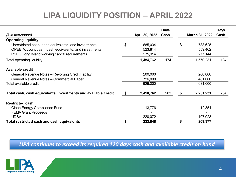# **LIPA LIQUIDITY POSITION – APRIL 2022**

|                                                                |     |                | <b>Days</b> |    |                | <b>Days</b> |
|----------------------------------------------------------------|-----|----------------|-------------|----|----------------|-------------|
| $(S \in \mathbb{R})$ in thousands)                             |     | April 30, 2022 | Cash        |    | March 31, 2022 | Cash        |
| <b>Operating liquidity</b>                                     |     |                |             |    |                |             |
| Unrestricted cash, cash equivalents, and investments           | \$  | 685,034        |             | \$ | 733,625        |             |
| OPEB Account cash, cash equivalents, and investments           |     | 523,814        |             |    | 559,462        |             |
| PSEG Long Island working capital requirements                  |     | 275,914        |             |    | 277,144        |             |
| <b>Total operating liquidity</b>                               |     | 1,484,762      | 174         |    | 1,570,231      | 184         |
| <b>Available credit</b>                                        |     |                |             |    |                |             |
| General Revenue Notes - Revolving Credit Facility              |     | 200,000        |             |    | 200,000        |             |
| General Revenue Notes - Commercial Paper                       |     | 726,000        |             |    | 481,000        |             |
| Total available credit                                         |     | 926,000        |             |    | 681,000        |             |
| Total cash, cash equivalents, investments and available credit | - 5 | 2,410,762      | 283         | S  | 2,251,231      | 264         |
| <b>Restricted cash</b>                                         |     |                |             |    |                |             |
| <b>Clean Energy Compliance Fund</b>                            |     | 13,776         |             |    | 12,354         |             |
| <b>FEMA Grant Proceeds</b>                                     |     |                |             |    |                |             |
| <b>UDSA</b>                                                    |     | 220,072        |             |    | 197,023        |             |
| Total restricted cash and cash equivalents                     |     | 233,848        |             | S  | 209,377        |             |

*LIPA continues to exceed its required 120 days cash and available credit on hand* 

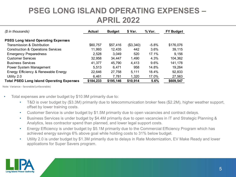### **PSEG LONG ISLAND OPERATING EXPENSES – APRIL 2022**

| (\$ in thousands)                                | Actual    | \$ Var.<br><b>Budget</b> |           | % Var.   | <b>FY Budget</b> |
|--------------------------------------------------|-----------|--------------------------|-----------|----------|------------------|
| <b>PSEG Long Island Operating Expenses</b>       |           |                          |           |          |                  |
| Transmission & Distribution                      | \$60,757  | \$57,416                 | (\$3,340) | $-5.8\%$ | \$176,076        |
| <b>Construction &amp; Operations Services</b>    | 11,993    | 12,435                   | 442       | 3.6%     | 39,115           |
| <b>Emergency Preparedness</b>                    | 2,528     | 3,049                    | 520       | 17.1%    | 9.156            |
| <b>Customer Services</b>                         | 32,958    | 34,447                   | 1,490     | 4.3%     | 104,362          |
| <b>Business Services</b>                         | 41,377    | 45,790                   | 4,413     | 9.6%     | 141,178          |
| Power System Management                          | 5,513     | 6.471                    | 958       | 14.8%    | 19,264           |
| Energy Efficiency & Renewable Energy             | 22,646    | 27,758                   | 5,111     | 18.4%    | 92,833           |
| Utility 2.0                                      | 6,461     | 7,781                    | 1,320     | 17.0%    | 27,563           |
| <b>Total PSEG Long Island Operating Expenses</b> | \$184,233 | \$195,146                | \$10,914  | 5.6%     | \$609,547        |

- Total expenses are under budget by \$10.9M primarily due to:
	- T&D is over budget by (\$3.3M) primarily due to telecommunication broker fees (\$2.2M), higher weather support, offset by lower training costs.
	- Customer Service is under budget by \$1.5M primarily due to open vacancies and contract delays.
	- Business Services is under budget by \$4.4M primarily due to open vacancies in IT and Strategic Planning & Analytics, less contractor spend than planned, and lower legal support costs.
	- Energy Efficiency is under budget by \$5.1M primarily due to the Commercial Efficiency Program which has achieved energy savings 6% above goal while holding costs to 31% below budget.
	- Utility 2.0 is under budget by \$1.3M primarily due to delays in Rate Modernization, EV Make Ready and lower applications for Super Savers program.

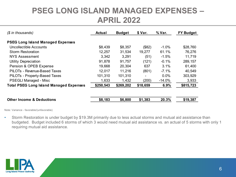#### **PSEG LONG ISLAND MANAGED EXPENSES – APRIL 2022**

| $(S$ in thousands)                             | <b>Actual</b> | <b>Budget</b> | \$ Var.        | % Var.   | <b>FY Budget</b> |  |  |
|------------------------------------------------|---------------|---------------|----------------|----------|------------------|--|--|
| <b>PSEG Long Island Managed Expenses</b>       |               |               |                |          |                  |  |  |
| Uncollectible Accounts                         | \$8,439       | \$8,357       | (\$82)         | $-1.0\%$ | \$28,760         |  |  |
| <b>Storm Restoration</b>                       | 12,257        | 31,534        | 19,277         | 61.1%    | 76,276           |  |  |
| NYS Assessment                                 | 3,342         | 3,291         | (51)           | $-1.5%$  | 11,719           |  |  |
| <b>Utility Depreciation</b>                    | 91,878        | 91,757        | (121)          | $-0.1%$  | 289,157          |  |  |
| Pension & OPEB Expense                         | 19,668        | 20,304        | 637            | 3.1%     | 61,400           |  |  |
| PILOTs - Revenue-Based Taxes                   | 12,017        | 11,216        | (801)          | $-7.1%$  | 40,549           |  |  |
| PILOTs - Property-Based Taxes                  | 101,310       | 101,310       | $\blacksquare$ | 0.0%     | 303,929          |  |  |
| <b>PSEGLI Managed - Misc</b>                   | 1,633         | 1,432         | (200)          | $-14.0%$ | 3,933            |  |  |
| <b>Total PSEG Long Island Managed Expenses</b> | \$250,543     | \$269,202     | \$18,659       | 6.9%     | \$815,723        |  |  |
|                                                |               |               |                |          |                  |  |  |
| <b>Other Income &amp; Deductions</b>           | \$8,183       | \$6,800       | \$1,383        | 20.3%    | \$19,387         |  |  |

Note: Variance - favorable/(unfavorable)

• Storm Restoration is under budget by \$19.3M primarily due to less actual storms and mutual aid assistance than budgeted. Budget included 6 storms of which 3 would need mutual aid assistance vs. an actual of 5 storms with only 1 requiring mutual aid assistance.

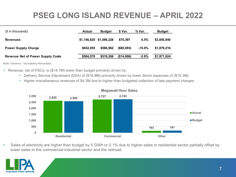# **PSEG LONG ISLAND REVENUE – APRIL 2022**

| (\$ in thousands)                        | <b>Actual</b> | <b>Budget</b>           | \$ Var.    | % Var.    | <b>Budget</b> |
|------------------------------------------|---------------|-------------------------|------------|-----------|---------------|
| <b>Revenues</b>                          |               | \$1,156,625 \$1,086,228 | \$70.397   | 6.5%      | \$3,850,840   |
| <b>Power Supply Charge</b>               | \$652,055     | \$566,962               | (\$85,093) | $-15.0\%$ | \$1.879.216   |
| <b>Revenue Net of Power Supply Costs</b> | \$504,570     | \$519,266               | (\$14,696) | $-2.8%$   | \$1,971,624   |

Note: Variance - favorable/(unfavorable)

- Revenue, net of PSCs, is (\$14.7M) lower than budget primarily driven by:
	- Delivery Service Adjustment (DSA) of (\$19.9M) primarily driven by lower Storm expenses of (\$19.3M)
	- Higher miscellaneous revenues of \$4.3M due to higher than budgeted collection of late payment charges



#### Sales of electricity are higher than budget by 5 GWh or 0.1% due to higher sales in residential sector partially offset by lower sales in the commercial-industrial sector and the railroad.

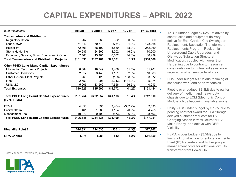# **CAPITAL EXPENDITURES – APRIL 2022**

| (\$ in thousands)                                                  | Actual    | <b>Budget</b> | \$ Var.  | % Var.     | <b>FY Budget</b> |
|--------------------------------------------------------------------|-----------|---------------|----------|------------|------------------|
| <b>Transmission and Distribution</b>                               |           |               |          |            |                  |
| <b>Regulatory Driven</b>                                           | (\$2)     | \$0           | \$2      | 0.0%       | \$0              |
| Load Growth                                                        | 61.442    | 60,678        | (764)    | $-1.3%$    | 178,268          |
| Reliability                                                        | 72,303    | 88,192        | 15,889   | 18.0%      | 252,069          |
| Storm Hardening                                                    | 20.687    | 24.890        | 4.202    | 16.9%      | 70,000           |
| Economic, Salvage, Tools, Equipment & Other                        | 7,400     | 13,401        | 6,002    | 44.8%      | 60,229           |
| <b>Total Transmission and Distribution Projects</b>                | \$161,830 | \$187,161     | \$25,331 | 13.5%      | \$560,566        |
| <b>Other PSEG Long Island Capital Expenditures</b>                 |           |               |          |            |                  |
| Information Technology Projects                                    | 8,884     | 18,349        | 9,466    | 51.6%      | 81,701           |
| <b>Customer Operations</b>                                         | 2,317     | 3,448         | 1,131    | 32.8%      | 10,683           |
| Other General Plant Projects                                       | 266       | 128           | (138)    | $-108.0%$  | 3,072            |
| Fleet                                                              | 2.550     | 207           | (2, 343) | $-1131.0%$ | 15,974           |
| Utility 2.0                                                        | 5,906     | 13,562        | 7,656    | 56.5%      | 40,013           |
| <b>Total Expenses</b>                                              | \$19,923  | \$35,695      | \$15,772 | 44.2%      | \$151,444        |
| <b>Total PSEG Long Island Capital Expenditures</b><br>(excl. FEMA) | \$181,754 | \$222,857     | \$41,103 | 18.4%      | \$712,010        |
| <b>FEMA</b>                                                        | 4,358     | 895           | (3, 464) | $-387.2%$  | 2,690            |
| Capital Storm                                                      | 461       | 1,585         | 1,124    | 70.9%      | 4,755            |
| Management Fee                                                     | 10,072    | 9,499         | (573)    | $-6.0\%$   | 28,496           |
| <b>Total PSEG Long Island Capital Expenditures</b>                 | \$196,645 | \$234,835     | \$38,190 | 16.3%      | \$747,951        |
| <b>Nine Mile Point 2</b>                                           | \$24,331  | \$24,030      | (\$301)  | $-1.3%$    | \$27,267         |
| <b>LIPA Capital</b>                                                | \$975     | \$988         | \$12     | 1.2%       | \$11,850         |

T&D is under budget by \$25.3M driven by construction and equipment delivery delays for East Garden City Switchgear Replacement, Substation Transformers Replacements Program, Residential Underground Cable Upgrades, and Glenwood Substation Structural Modification, coupled with lower Storm Hardening due to contractor resource constraints due to mutual aid assistance required in other service territories.

- IT is under budget \$9.5M due to timing of scheduled work and open vacancies.
- Fleet is over budget (\$2.3M) due to earlier delivery of medium and heavy-duty chassis due to ECM (Electronic Control Module) chips becoming available sooner.
- Utility 2.0 is under budget by \$7.7M due to pending contract award for Grid Storage, delayed customer requests for EV Charging Station infrastructure for EV Make Ready, and delays with DER Visibility.
- FEMA is over budget (\$3.5M) due to timing of construction for substation Inside Plant (IP) Repeaters and higher program management costs for additional circuits transferred from Power On.

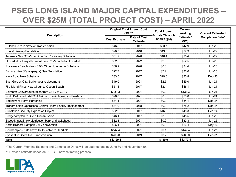## **PSEG LONG ISLAND MAJOR CAPITAL EXPENDITURES – OVER \$25M (TOTAL PROJECT COST) – APRIL 2022**

| <b>Description</b>                                               |                                                         | <b>Original Total Project Cost</b><br>$(SM)$ ** | <b>Total Project</b><br><b>Actuals Through</b> | <b>Current</b><br>Working | <b>Current Estimated</b> |
|------------------------------------------------------------------|---------------------------------------------------------|-------------------------------------------------|------------------------------------------------|---------------------------|--------------------------|
|                                                                  | Date of Cost<br><b>Cost Estimate</b><br><b>Estimate</b> |                                                 | 4/30/22 (\$M)                                  | Estimate*<br>(SM)         | <b>Completion Date*</b>  |
| Ruland Rd to Plainview: Transmission                             | \$46.8                                                  | 2017                                            | \$33.7                                         | \$42.9                    | $Jun-22$                 |
| Round Swamp Substation                                           | \$20.5                                                  | 2018                                            | \$19.3                                         | \$27.9                    | <b>Jun-22</b>            |
| Arverne - New 33kV Circuit to Far Rockaway Substation            | \$31.2                                                  | 2020                                            | \$16.4                                         | \$25.4                    | <b>Jun-22</b>            |
| Flowerfield - Terryville: Install new 69 kV cable to Flowerfield | \$52.5                                                  | 2022                                            | \$2.5                                          | \$52.5                    | $Jun-23$                 |
| Rockaway Beach - New 33kV Circuit to Arverne Substation          | \$36.9                                                  | 2020                                            | \$6.6                                          | \$34.4                    | <b>Jun-23</b>            |
| Brooklyn Ave (Massapequa) New Substation                         | \$22.7                                                  | 2017                                            | \$7.2                                          | \$33.0                    | <b>Jun-23</b>            |
| Navy Road New Substation                                         | \$33.5                                                  | 2017                                            | \$29.0                                         | \$30.8                    | Dec-23                   |
| East Garden City: Switchgear replacement                         | \$49.0                                                  | 2021                                            | \$2.5                                          | \$49.0                    | $Jun-24$                 |
| Fire Island Pines New Circuit to Ocean Beach                     | \$51.1                                                  | 2017                                            | \$2.4                                          | \$46.1                    | $Jun-24$                 |
| Belmont: Convert substation from 33 kV to 69 kV                  | \$131.3                                                 | 2021                                            | \$0.0                                          | \$131.3                   | <b>Jun-24</b>            |
| North Bellmore Install 33 MVA bank, switchgear, and feeders      | \$28.8                                                  | 2021                                            | \$0.0                                          | \$28.8                    | <b>Jun-24</b>            |
| Smithtown: Storm Hardening                                       | \$34.1                                                  | 2021                                            | \$0.0                                          | \$34.1                    | Dec-24                   |
| Transmission Operations Control Room Facility Replacement        | \$84.0                                                  | 2018                                            | \$0.0                                          | \$78.2                    | Dec-24                   |
| Substation Security Expansion Project                            | \$52.9                                                  | 2017                                            | \$16.2                                         | \$48.3                    | $Dec-24$                 |
| Bridgehampton to Buell: Transmission                             | \$46.1                                                  | 2017                                            | \$3.8                                          | \$45.5                    | <b>Jun-25</b>            |
| Elwood: Install new distribution bank and switchgear             | \$32.3                                                  | 2021                                            | \$0.0                                          | \$32.3                    | <b>Jun-25</b>            |
| North Bellport: Eastport 23kV conversion                         | \$26.4                                                  | 2021                                            | \$0.0                                          | \$26.4                    | May-26                   |
| Southampton Install new 138kV cable to Deerfield                 | \$142.4                                                 | 2021                                            | \$0.1                                          | \$142.4                   | <b>Jun-27</b>            |
| Syosset to Shore Rd.: Transmission                               | \$268.0                                                 | 2019                                            | \$0.2\$                                        | \$268.0                   | Dec-31                   |
| Total                                                            | \$1,190.6                                               |                                                 | \$139.9                                        | \$1,177.4                 |                          |

\*The Current Working Estimate and Completion Dates will be updated ending June 30 and November 30.

\*\* Revised estimate based on PSEG LI new estimating process.